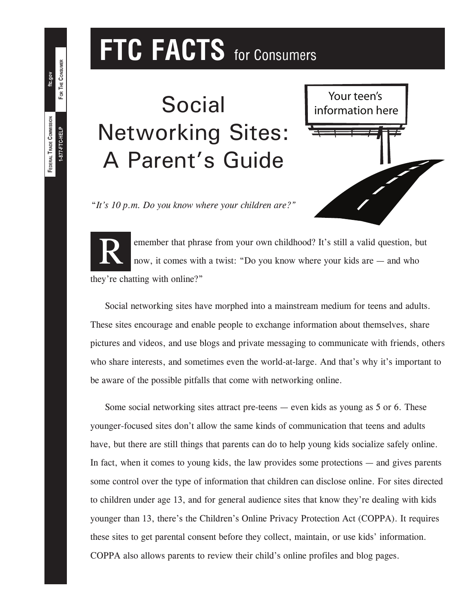# **FTC FACTS** for Consumers

**Social** Networking Sites: A Parent's Guide



"*It's 10 p.m. Do you know where your children are?"*

**R** emember that phrase from your own childhood? It's still a valid question, but now, it comes with a twist: "Do you know where your kids are — and who they're chatting with online?"

Social networking sites have morphed into a mainstream medium for teens and adults. These sites encourage and enable people to exchange information about themselves, share pictures and videos, and use blogs and private messaging to communicate with friends, others who share interests, and sometimes even the world-at-large. And that's why it's important to be aware of the possible pitfalls that come with networking online.

Some social networking sites attract pre-teens — even kids as young as 5 or 6. These younger-focused sites don't allow the same kinds of communication that teens and adults have, but there are still things that parents can do to help young kids socialize safely online. In fact, when it comes to young kids, the law provides some protections — and gives parents some control over the type of information that children can disclose online. For sites directed to children under age 13, and for general audience sites that know they're dealing with kids younger than 13, there's the Children's Online Privacy Protection Act (COPPA). It requires these sites to get parental consent before they collect, maintain, or use kids' information. COPPA also allows parents to review their child's online profiles and blog pages.

**1-877-FTC-HELP**

**FEDERAL TRADE COMMISSION**

FEDERAL TRADE COMMISSION 1-877-FTC-HELP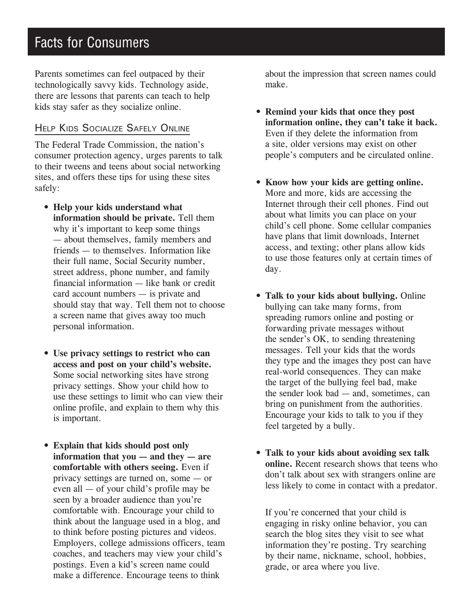# **Facts for Consumers**

Parents sometimes can feel outpaced by their technologically savvy kids. Technology aside, there are lessons that parents can teach to help kids stay safer as they socialize online.

# Help Kids Socialize Safely Online

The Federal Trade Commission, the nation's consumer protection agency, urges parents to talk to their tweens and teens about social networking sites, and offers these tips for using these sites safely:

- **Help your kids understand what information should be private.** Tell them why it's important to keep some things — about themselves, family members and friends — to themselves. Information like their full name, Social Security number, street address, phone number, and family financial information — like bank or credit card account numbers — is private and should stay that way. Tell them not to choose a screen name that gives away too much personal information.
- **Use privacy settings to restrict who can access and post on your child's website.** Some social networking sites have strong privacy settings. Show your child how to use these settings to limit who can view their online profile, and explain to them why this is important.
- **Explain that kids should post only information that you — and they — are comfortable with others seeing.** Even if privacy settings are turned on, some — or even all — of your child's profile may be seen by a broader audience than you're comfortable with. Encourage your child to think about the language used in a blog, and to think before posting pictures and videos. Employers, college admissions officers, team coaches, and teachers may view your child's postings. Even a kid's screen name could make a difference. Encourage teens to think

about the impression that screen names could make.

- **Remind your kids that once they post information online, they can't take it back.**  Even if they delete the information from a site, older versions may exist on other people's computers and be circulated online.
- **Know how your kids are getting online.**  More and more, kids are accessing the Internet through their cell phones. Find out about what limits you can place on your child's cell phone. Some cellular companies have plans that limit downloads, Internet access, and texting; other plans allow kids to use those features only at certain times of day.
- **Talk to your kids about bullying.** Online bullying can take many forms, from spreading rumors online and posting or forwarding private messages without the sender's OK, to sending threatening messages. Tell your kids that the words they type and the images they post can have real-world consequences. They can make the target of the bullying feel bad, make the sender look bad — and, sometimes, can bring on punishment from the authorities. Encourage your kids to talk to you if they feel targeted by a bully.
- **Talk to your kids about avoiding sex talk online.** Recent research shows that teens who don't talk about sex with strangers online are less likely to come in contact with a predator.

If you're concerned that your child is engaging in risky online behavior, you can search the blog sites they visit to see what information they're posting. Try searching by their name, nickname, school, hobbies, grade, or area where you live.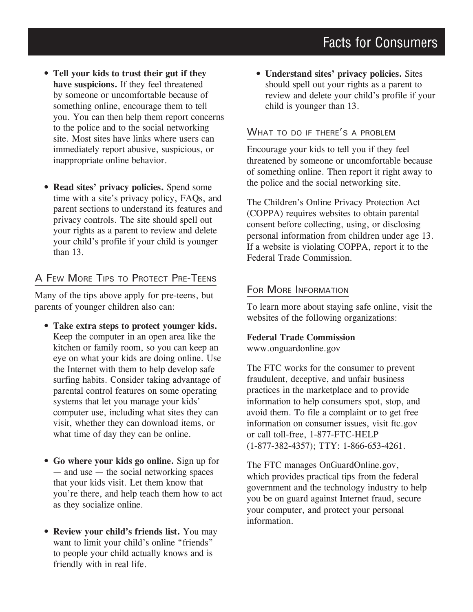- **• Tell your kids to trust their gut if they have suspicions.** If they feel threatened by someone or uncomfortable because of something online, encourage them to tell you. You can then help them report concerns to the police and to the social networking site. Most sites have links where users can immediately report abusive, suspicious, or inappropriate online behavior.
- **Read sites' privacy policies.** Spend some time with a site's privacy policy, FAQs, and parent sections to understand its features and privacy controls. The site should spell out your rights as a parent to review and delete your child's profile if your child is younger than 13.

# A Few More Tips to Protect Pre-Teens

Many of the tips above apply for pre-teens, but parents of younger children also can:

- **Take extra steps to protect younger kids.**  Keep the computer in an open area like the kitchen or family room, so you can keep an eye on what your kids are doing online. Use the Internet with them to help develop safe surfing habits. Consider taking advantage of parental control features on some operating systems that let you manage your kids' computer use, including what sites they can visit, whether they can download items, or what time of day they can be online.
- **Go where your kids go online.** Sign up for — and use — the social networking spaces that your kids visit. Let them know that you're there, and help teach them how to act as they socialize online.
- **Review your child's friends list.** You may want to limit your child's online "friends" to people your child actually knows and is friendly with in real life.

**• Understand sites' privacy policies.** Sites should spell out your rights as a parent to review and delete your child's profile if your child is younger than 13.

### WHAT TO DO IF THERE'S A PROBLEM

Encourage your kids to tell you if they feel threatened by someone or uncomfortable because of something online. Then report it right away to the police and the social networking site.

The Children's Online Privacy Protection Act (COPPA) requires websites to obtain parental consent before collecting, using, or disclosing personal information from children under age 13. If a website is violating COPPA, report it to the Federal Trade Commission.

#### FOR MORE INFORMATION

To learn more about staying safe online, visit the websites of the following organizations:

#### **Federal Trade Commission**

www.onguardonline.gov

The FTC works for the consumer to prevent fraudulent, deceptive, and unfair business practices in the marketplace and to provide information to help consumers spot, stop, and avoid them. To file a complaint or to get free information on consumer issues, visit ftc.gov or call toll-free, 1-877-FTC-HELP (1-877-382-4357); TTY: 1-866-653-4261.

The FTC manages OnGuardOnline.gov, which provides practical tips from the federal government and the technology industry to help you be on guard against Internet fraud, secure your computer, and protect your personal information.